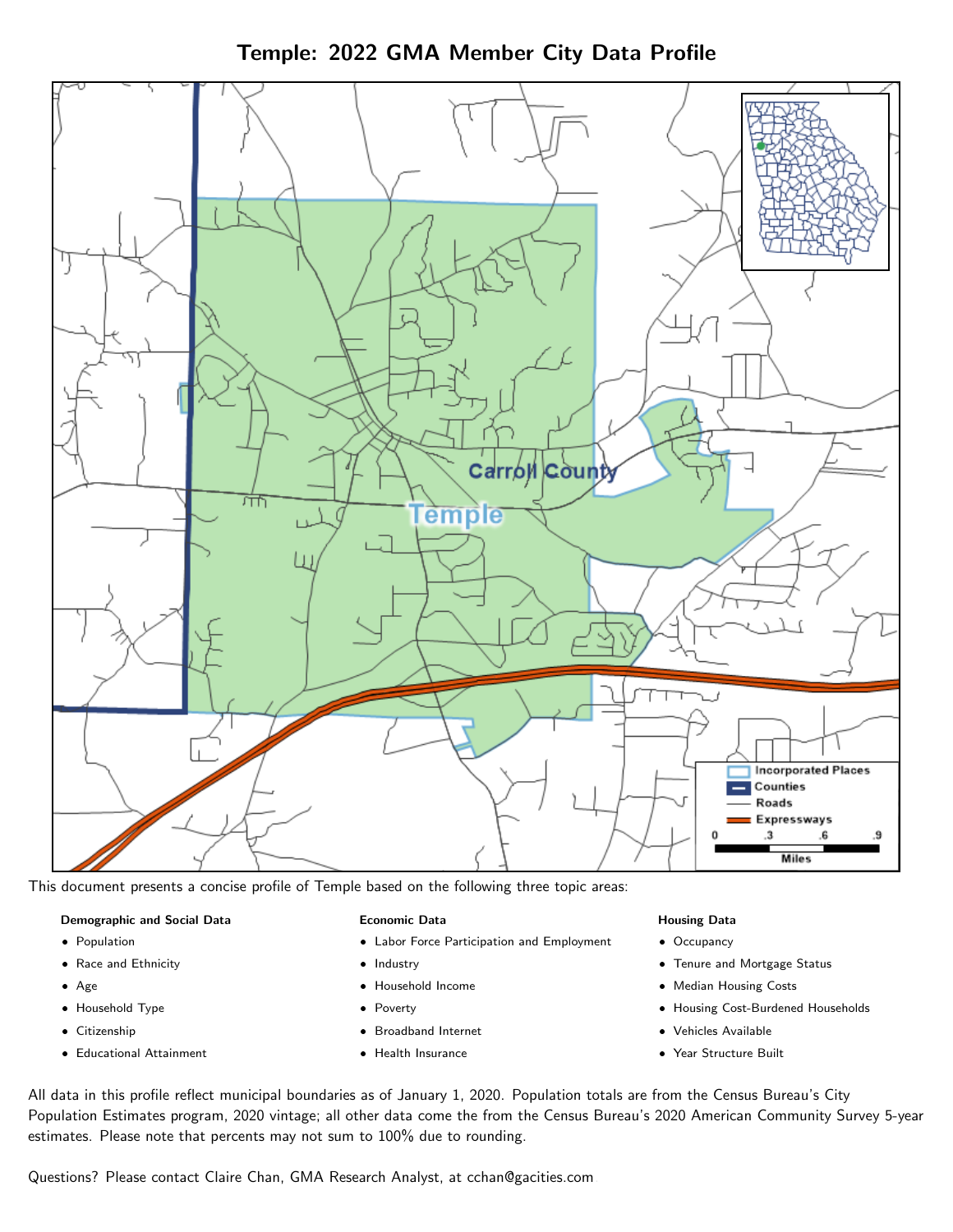Temple: 2022 GMA Member City Data Profile



This document presents a concise profile of Temple based on the following three topic areas:

#### Demographic and Social Data

- **•** Population
- Race and Ethnicity
- Age
- Household Type
- **Citizenship**
- Educational Attainment

## Economic Data

- Labor Force Participation and Employment
- Industry
- Household Income
- Poverty
- Broadband Internet
- Health Insurance

#### Housing Data

- Occupancy
- Tenure and Mortgage Status
- Median Housing Costs
- Housing Cost-Burdened Households
- Vehicles Available
- Year Structure Built

All data in this profile reflect municipal boundaries as of January 1, 2020. Population totals are from the Census Bureau's City Population Estimates program, 2020 vintage; all other data come the from the Census Bureau's 2020 American Community Survey 5-year estimates. Please note that percents may not sum to 100% due to rounding.

Questions? Please contact Claire Chan, GMA Research Analyst, at [cchan@gacities.com.](mailto:cchan@gacities.com)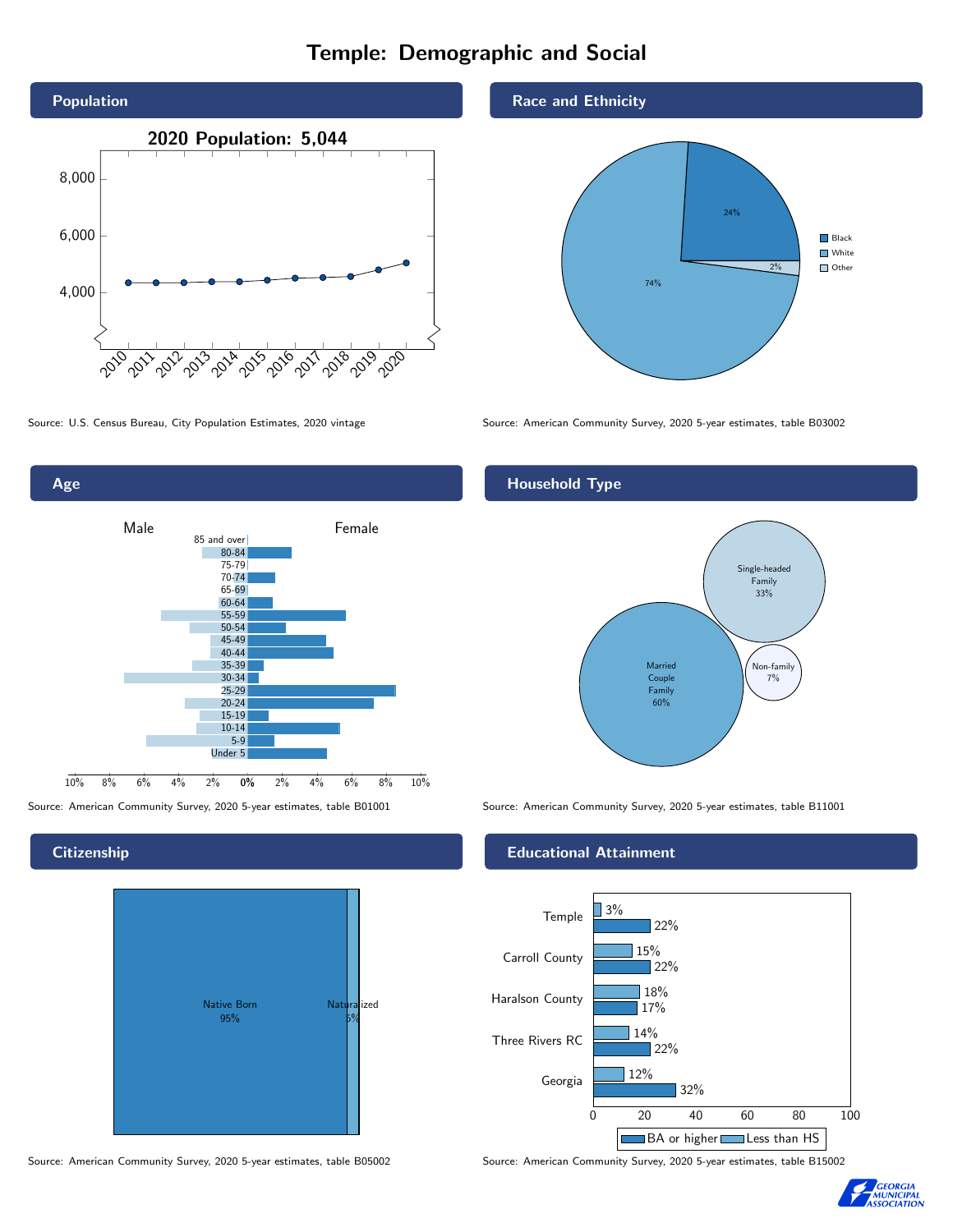# Temple: Demographic and Social





**Citizenship** 



Source: American Community Survey, 2020 5-year estimates, table B05002 Source: American Community Survey, 2020 5-year estimates, table B15002

### Race and Ethnicity



Source: U.S. Census Bureau, City Population Estimates, 2020 vintage Source: American Community Survey, 2020 5-year estimates, table B03002

# Household Type



Source: American Community Survey, 2020 5-year estimates, table B01001 Source: American Community Survey, 2020 5-year estimates, table B11001

#### Educational Attainment



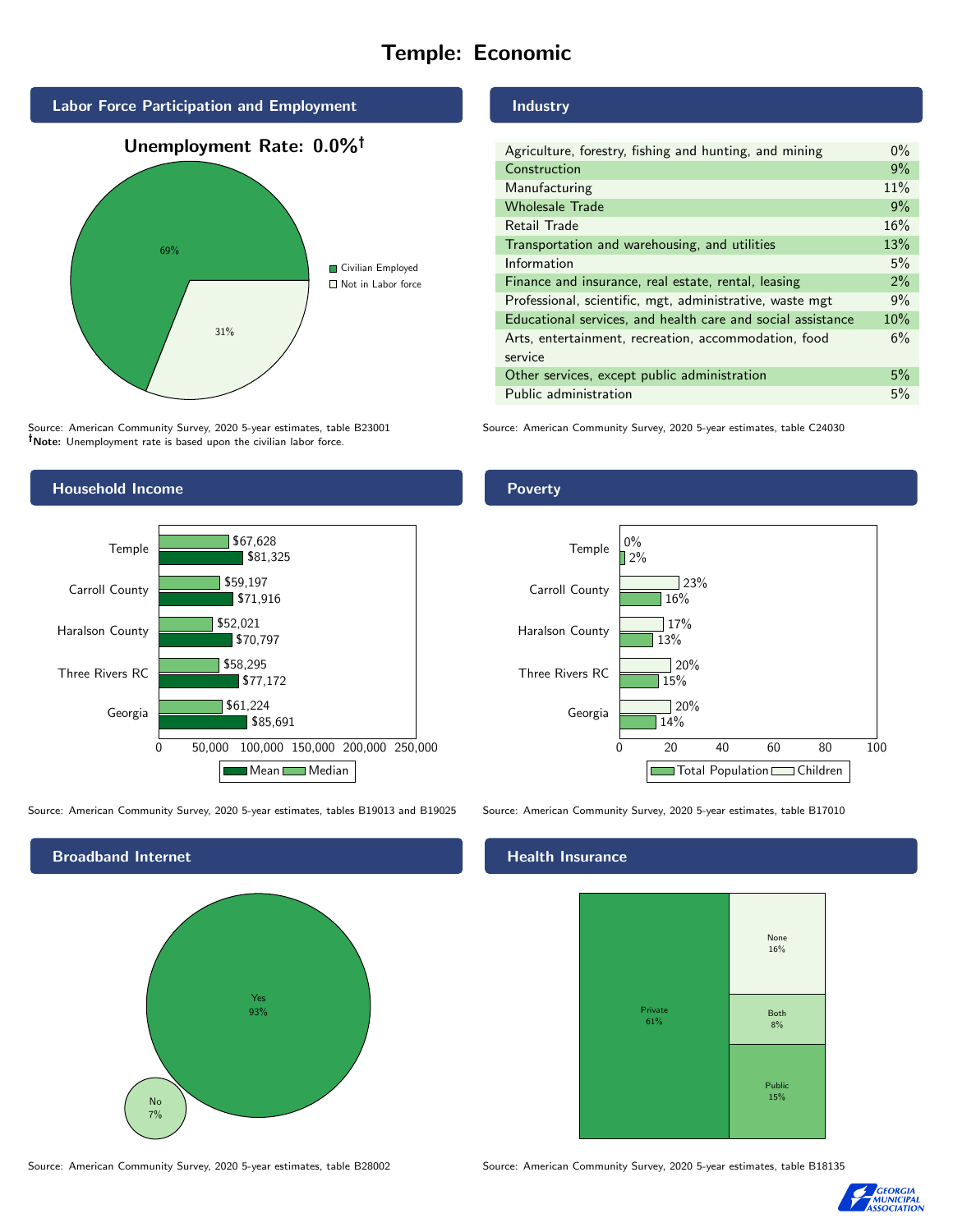# Temple: Economic



Source: American Community Survey, 2020 5-year estimates, table B23001 Note: Unemployment rate is based upon the civilian labor force.



Source: American Community Survey, 2020 5-year estimates, tables B19013 and B19025 Source: American Community Survey, 2020 5-year estimates, table B17010



#### Source: American Community Survey, 2020 5-year estimates, table B28002 Source: American Community Survey, 2020 5-year estimates, table B18135

## Industry

| Agriculture, forestry, fishing and hunting, and mining      | $0\%$ |
|-------------------------------------------------------------|-------|
| Construction                                                | 9%    |
| Manufacturing                                               | 11%   |
| <b>Wholesale Trade</b>                                      | 9%    |
| Retail Trade                                                | 16%   |
| Transportation and warehousing, and utilities               | 13%   |
| Information                                                 | 5%    |
| Finance and insurance, real estate, rental, leasing         | 2%    |
| Professional, scientific, mgt, administrative, waste mgt    | 9%    |
| Educational services, and health care and social assistance | 10%   |
| Arts, entertainment, recreation, accommodation, food        | 6%    |
| service                                                     |       |
| Other services, except public administration                | 5%    |
| Public administration                                       | 5%    |

Source: American Community Survey, 2020 5-year estimates, table C24030

#### **Poverty**



#### Health Insurance